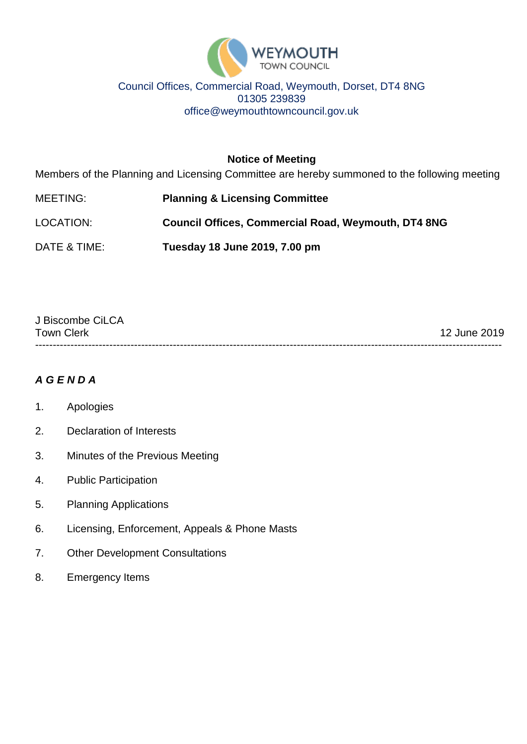

#### Council Offices, Commercial Road, Weymouth, Dorset, DT4 8NG 01305 239839 office@weymouthtowncouncil.gov.uk

**Notice of Meeting** Members of the Planning and Licensing Committee are hereby summoned to the following meeting MEETING: **Planning & Licensing Committee** LOCATION: **Council Offices, Commercial Road, Weymouth, DT4 8NG** DATE & TIME: **Tuesday 18 June 2019, 7.00 pm**

| J Biscombe CiLCA  |              |
|-------------------|--------------|
| <b>Town Clerk</b> | 12 June 2019 |
|                   |              |

## *A G E N D A*

- 1. Apologies
- 2. Declaration of Interests
- 3. Minutes of the Previous Meeting
- 4. Public Participation
- 5. Planning Applications
- 6. Licensing, Enforcement, Appeals & Phone Masts
- 7. Other Development Consultations
- 8. Emergency Items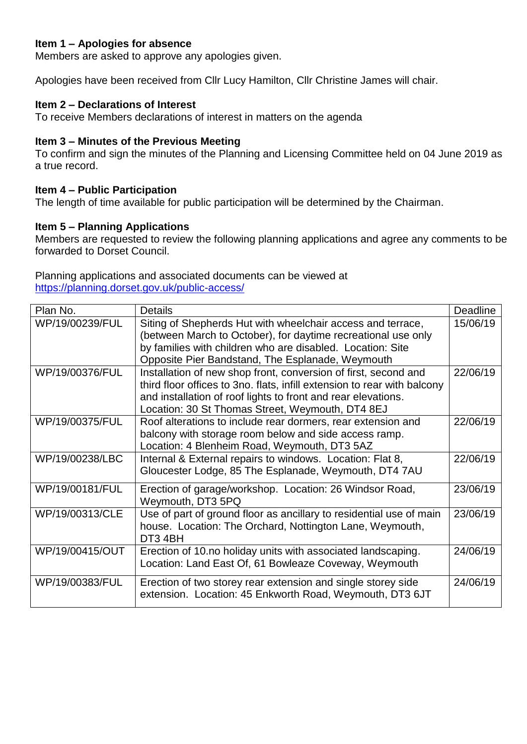#### **Item 1 – Apologies for absence**

Members are asked to approve any apologies given.

Apologies have been received from Cllr Lucy Hamilton, Cllr Christine James will chair.

#### **Item 2 – Declarations of Interest**

To receive Members declarations of interest in matters on the agenda

#### **Item 3 – Minutes of the Previous Meeting**

To confirm and sign the minutes of the Planning and Licensing Committee held on 04 June 2019 as a true record.

#### **Item 4 – Public Participation**

The length of time available for public participation will be determined by the Chairman.

#### **Item 5 – Planning Applications**

Members are requested to review the following planning applications and agree any comments to be forwarded to Dorset Council.

Planning applications and associated documents can be viewed at <https://planning.dorset.gov.uk/public-access/>

| Plan No.        | <b>Details</b>                                                                                                                                                                                                                                                   | <b>Deadline</b> |
|-----------------|------------------------------------------------------------------------------------------------------------------------------------------------------------------------------------------------------------------------------------------------------------------|-----------------|
| WP/19/00239/FUL | Siting of Shepherds Hut with wheelchair access and terrace,<br>(between March to October), for daytime recreational use only<br>by families with children who are disabled. Location: Site<br>Opposite Pier Bandstand, The Esplanade, Weymouth                   | 15/06/19        |
| WP/19/00376/FUL | Installation of new shop front, conversion of first, second and<br>third floor offices to 3no. flats, infill extension to rear with balcony<br>and installation of roof lights to front and rear elevations.<br>Location: 30 St Thomas Street, Weymouth, DT4 8EJ | 22/06/19        |
| WP/19/00375/FUL | Roof alterations to include rear dormers, rear extension and<br>balcony with storage room below and side access ramp.<br>Location: 4 Blenheim Road, Weymouth, DT3 5AZ                                                                                            | 22/06/19        |
| WP/19/00238/LBC | Internal & External repairs to windows. Location: Flat 8,<br>Gloucester Lodge, 85 The Esplanade, Weymouth, DT4 7AU                                                                                                                                               | 22/06/19        |
| WP/19/00181/FUL | Erection of garage/workshop. Location: 26 Windsor Road,<br>Weymouth, DT3 5PQ                                                                                                                                                                                     | 23/06/19        |
| WP/19/00313/CLE | Use of part of ground floor as ancillary to residential use of main<br>house. Location: The Orchard, Nottington Lane, Weymouth,<br>DT34BH                                                                                                                        | 23/06/19        |
| WP/19/00415/OUT | Erection of 10.no holiday units with associated landscaping.<br>Location: Land East Of, 61 Bowleaze Coveway, Weymouth                                                                                                                                            | 24/06/19        |
| WP/19/00383/FUL | Erection of two storey rear extension and single storey side<br>extension. Location: 45 Enkworth Road, Weymouth, DT3 6JT                                                                                                                                         | 24/06/19        |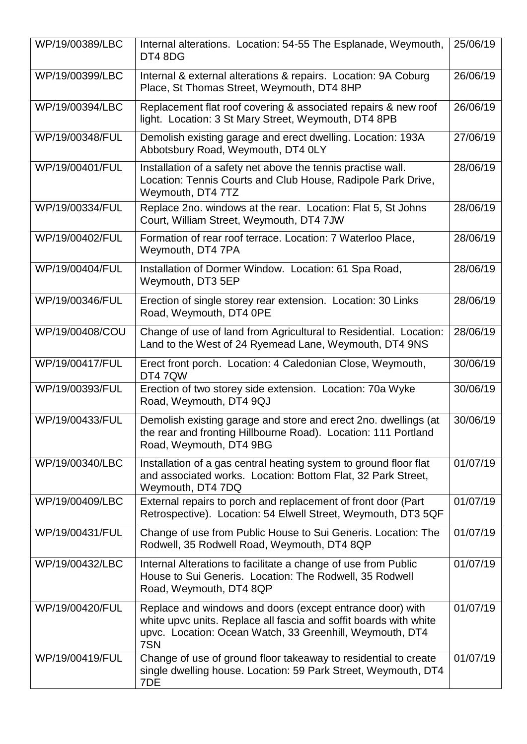| WP/19/00389/LBC | Internal alterations. Location: 54-55 The Esplanade, Weymouth,<br>DT4 8DG                                                                                                                         | 25/06/19 |
|-----------------|---------------------------------------------------------------------------------------------------------------------------------------------------------------------------------------------------|----------|
| WP/19/00399/LBC | Internal & external alterations & repairs. Location: 9A Coburg<br>Place, St Thomas Street, Weymouth, DT4 8HP                                                                                      | 26/06/19 |
| WP/19/00394/LBC | Replacement flat roof covering & associated repairs & new roof<br>light. Location: 3 St Mary Street, Weymouth, DT4 8PB                                                                            | 26/06/19 |
| WP/19/00348/FUL | Demolish existing garage and erect dwelling. Location: 193A<br>Abbotsbury Road, Weymouth, DT4 0LY                                                                                                 | 27/06/19 |
| WP/19/00401/FUL | Installation of a safety net above the tennis practise wall.<br>Location: Tennis Courts and Club House, Radipole Park Drive,<br>Weymouth, DT4 7TZ                                                 | 28/06/19 |
| WP/19/00334/FUL | Replace 2no. windows at the rear. Location: Flat 5, St Johns<br>Court, William Street, Weymouth, DT4 7JW                                                                                          | 28/06/19 |
| WP/19/00402/FUL | Formation of rear roof terrace. Location: 7 Waterloo Place,<br>Weymouth, DT4 7PA                                                                                                                  | 28/06/19 |
| WP/19/00404/FUL | Installation of Dormer Window. Location: 61 Spa Road,<br>Weymouth, DT3 5EP                                                                                                                        | 28/06/19 |
| WP/19/00346/FUL | Erection of single storey rear extension. Location: 30 Links<br>Road, Weymouth, DT4 0PE                                                                                                           | 28/06/19 |
| WP/19/00408/COU | Change of use of land from Agricultural to Residential. Location:<br>Land to the West of 24 Ryemead Lane, Weymouth, DT4 9NS                                                                       | 28/06/19 |
| WP/19/00417/FUL | Erect front porch. Location: 4 Caledonian Close, Weymouth,<br>DT47QW                                                                                                                              | 30/06/19 |
| WP/19/00393/FUL | Erection of two storey side extension. Location: 70a Wyke<br>Road, Weymouth, DT4 9QJ                                                                                                              | 30/06/19 |
| WP/19/00433/FUL | Demolish existing garage and store and erect 2no. dwellings (at<br>the rear and fronting Hillbourne Road). Location: 111 Portland<br>Road, Weymouth, DT4 9BG                                      | 30/06/19 |
| WP/19/00340/LBC | Installation of a gas central heating system to ground floor flat<br>and associated works. Location: Bottom Flat, 32 Park Street,<br>Weymouth, DT4 7DQ                                            | 01/07/19 |
| WP/19/00409/LBC | External repairs to porch and replacement of front door (Part<br>Retrospective). Location: 54 Elwell Street, Weymouth, DT3 5QF                                                                    | 01/07/19 |
| WP/19/00431/FUL | Change of use from Public House to Sui Generis. Location: The<br>Rodwell, 35 Rodwell Road, Weymouth, DT4 8QP                                                                                      | 01/07/19 |
| WP/19/00432/LBC | Internal Alterations to facilitate a change of use from Public<br>House to Sui Generis. Location: The Rodwell, 35 Rodwell<br>Road, Weymouth, DT4 8QP                                              | 01/07/19 |
| WP/19/00420/FUL | Replace and windows and doors (except entrance door) with<br>white upvc units. Replace all fascia and soffit boards with white<br>upvc. Location: Ocean Watch, 33 Greenhill, Weymouth, DT4<br>7SN | 01/07/19 |
| WP/19/00419/FUL | Change of use of ground floor takeaway to residential to create<br>single dwelling house. Location: 59 Park Street, Weymouth, DT4<br>7DE                                                          | 01/07/19 |